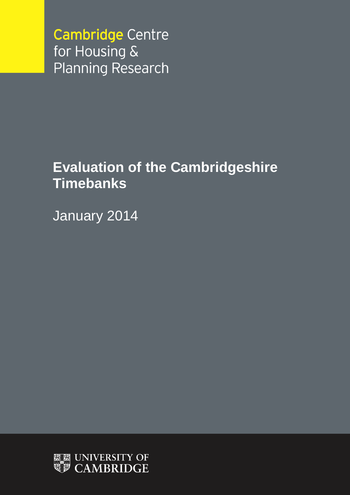**Cambridge Centre** for Housing & **Planning Research** 

# **Evaluation of the Cambridgeshire Timebanks**

January 2014

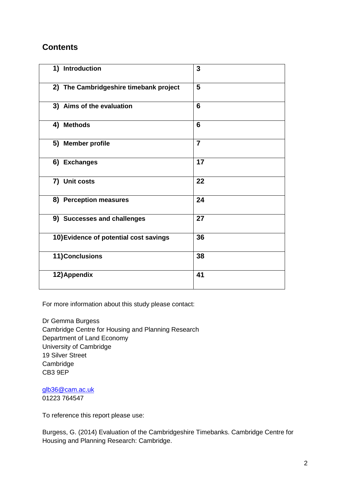### **Contents**

| 1) Introduction                        | 3              |
|----------------------------------------|----------------|
| 2) The Cambridgeshire timebank project | 5              |
| 3) Aims of the evaluation              | 6              |
| 4) Methods                             | 6              |
| 5) Member profile                      | $\overline{7}$ |
| 6) Exchanges                           | 17             |
| 7) Unit costs                          | 22             |
| 8) Perception measures                 | 24             |
| 9) Successes and challenges            | 27             |
| 10) Evidence of potential cost savings | 36             |
| 11) Conclusions                        | 38             |
| 12) Appendix                           | 41             |

For more information about this study please contact:

Dr Gemma Burgess Cambridge Centre for Housing and Planning Research Department of Land Economy University of Cambridge 19 Silver Street **Cambridge** CB3 9EP

[glb36@cam.ac.uk](mailto:glb36@cam.ac.uk) 01223 764547

To reference this report please use:

Burgess, G. (2014) Evaluation of the Cambridgeshire Timebanks. Cambridge Centre for Housing and Planning Research: Cambridge.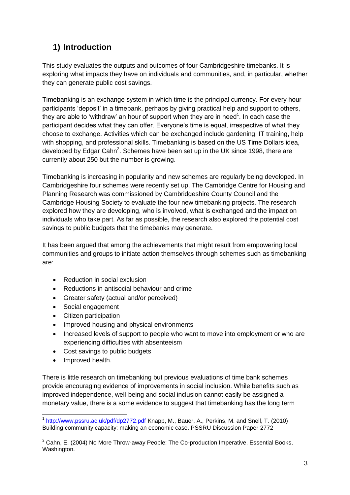# **1) Introduction**

This study evaluates the outputs and outcomes of four Cambridgeshire timebanks. It is exploring what impacts they have on individuals and communities, and, in particular, whether they can generate public cost savings.

Timebanking is an exchange system in which time is the principal currency. For every hour participants 'deposit' in a timebank, perhaps by giving practical help and support to others, they are able to 'withdraw' an hour of support when they are in need<sup>1</sup>. In each case the participant decides what they can offer. Everyone's time is equal, irrespective of what they choose to exchange. Activities which can be exchanged include gardening, IT training, help with shopping, and professional skills. Timebanking is based on the US Time Dollars idea, developed by Edgar Cahn<sup>2</sup>. Schemes have been set up in the UK since 1998, there are currently about 250 but the number is growing.

Timebanking is increasing in popularity and new schemes are regularly being developed. In Cambridgeshire four schemes were recently set up. The Cambridge Centre for Housing and Planning Research was commissioned by Cambridgeshire County Council and the Cambridge Housing Society to evaluate the four new timebanking projects. The research explored how they are developing, who is involved, what is exchanged and the impact on individuals who take part. As far as possible, the research also explored the potential cost savings to public budgets that the timebanks may generate.

It has been argued that among the achievements that might result from empowering local communities and groups to initiate action themselves through schemes such as timebanking are:

- Reduction in social exclusion
- Reductions in antisocial behaviour and crime
- Greater safety (actual and/or perceived)
- Social engagement
- Citizen participation
- Improved housing and physical environments
- Increased levels of support to people who want to move into employment or who are experiencing difficulties with absenteeism
- Cost savings to public budgets
- Improved health.

<u>.</u>

There is little research on timebanking but previous evaluations of time bank schemes provide encouraging evidence of improvements in social inclusion. While benefits such as improved independence, well-being and social inclusion cannot easily be assigned a monetary value, there is a some evidence to suggest that timebanking has the long term

<sup>&</sup>lt;sup>1</sup> <http://www.pssru.ac.uk/pdf/dp2772.pdf> Knapp, M., Bauer, A., Perkins, M. and Snell, T. (2010) Building community capacity: making an economic case. PSSRU Discussion Paper 2772

 $2$  Cahn, E. (2004) No More Throw-away People: The Co-production Imperative. Essential Books, Washington.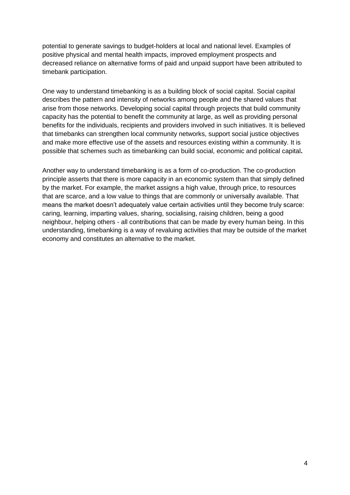potential to generate savings to budget-holders at local and national level. Examples of positive physical and mental health impacts, improved employment prospects and decreased reliance on alternative forms of paid and unpaid support have been attributed to timebank participation.

One way to understand timebanking is as a building block of social capital. Social capital describes the pattern and intensity of networks among people and the shared values that arise from those networks. Developing social capital through projects that build community capacity has the potential to benefit the community at large, as well as providing personal benefits for the individuals, recipients and providers involved in such initiatives. It is believed that timebanks can strengthen local community networks, support social justice objectives and make more effective use of the assets and resources existing within a community. It is possible that schemes such as timebanking can build social, economic and political capital**.**

Another way to understand timebanking is as a form of co-production. The co-production principle asserts that there is more capacity in an economic system than that simply defined by the market. For example, the market assigns a high value, through price, to resources that are scarce, and a low value to things that are commonly or universally available. That means the market doesn't adequately value certain activities until they become truly scarce: caring, learning, imparting values, sharing, socialising, raising children, being a good neighbour, helping others - all contributions that can be made by every human being. In this understanding, timebanking is a way of revaluing activities that may be outside of the market economy and constitutes an alternative to the market.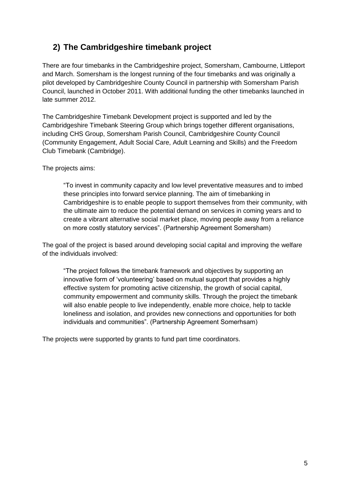# **2) The Cambridgeshire timebank project**

There are four timebanks in the Cambridgeshire project, Somersham, Cambourne, Littleport and March. Somersham is the longest running of the four timebanks and was originally a pilot developed by Cambridgeshire County Council in partnership with Somersham Parish Council, launched in October 2011. With additional funding the other timebanks launched in late summer 2012.

The Cambridgeshire Timebank Development project is supported and led by the Cambridgeshire Timebank Steering Group which brings together different organisations, including CHS Group, Somersham Parish Council, Cambridgeshire County Council (Community Engagement, Adult Social Care, Adult Learning and Skills) and the Freedom Club Timebank (Cambridge).

The projects aims:

"To invest in community capacity and low level preventative measures and to imbed these principles into forward service planning. The aim of timebanking in Cambridgeshire is to enable people to support themselves from their community, with the ultimate aim to reduce the potential demand on services in coming years and to create a vibrant alternative social market place, moving people away from a reliance on more costly statutory services". (Partnership Agreement Somersham)

The goal of the project is based around developing social capital and improving the welfare of the individuals involved:

"The project follows the timebank framework and objectives by supporting an innovative form of 'volunteering' based on mutual support that provides a highly effective system for promoting active citizenship, the growth of social capital, community empowerment and community skills. Through the project the timebank will also enable people to live independently, enable more choice, help to tackle loneliness and isolation, and provides new connections and opportunities for both individuals and communities". (Partnership Agreement Somerhsam)

The projects were supported by grants to fund part time coordinators.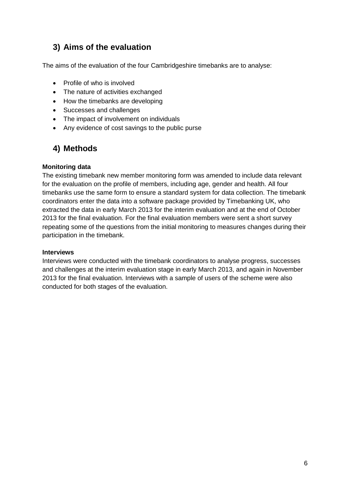# **3) Aims of the evaluation**

The aims of the evaluation of the four Cambridgeshire timebanks are to analyse:

- Profile of who is involved
- The nature of activities exchanged
- How the timebanks are developing
- Successes and challenges
- The impact of involvement on individuals
- Any evidence of cost savings to the public purse

# **4) Methods**

#### **Monitoring data**

The existing timebank new member monitoring form was amended to include data relevant for the evaluation on the profile of members, including age, gender and health. All four timebanks use the same form to ensure a standard system for data collection. The timebank coordinators enter the data into a software package provided by Timebanking UK, who extracted the data in early March 2013 for the interim evaluation and at the end of October 2013 for the final evaluation. For the final evaluation members were sent a short survey repeating some of the questions from the initial monitoring to measures changes during their participation in the timebank.

#### **Interviews**

Interviews were conducted with the timebank coordinators to analyse progress, successes and challenges at the interim evaluation stage in early March 2013, and again in November 2013 for the final evaluation. Interviews with a sample of users of the scheme were also conducted for both stages of the evaluation.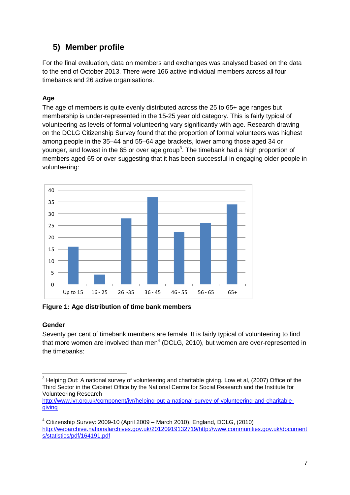# **5) Member profile**

For the final evaluation, data on members and exchanges was analysed based on the data to the end of October 2013. There were 166 active individual members across all four timebanks and 26 active organisations.

#### **Age**

The age of members is quite evenly distributed across the 25 to 65+ age ranges but membership is under-represented in the 15-25 year old category. This is fairly typical of volunteering as levels of formal volunteering vary significantly with age. Research drawing on the DCLG Citizenship Survey found that the proportion of formal volunteers was highest among people in the 35–44 and 55–64 age brackets, lower among those aged 34 or younger, and lowest in the 65 or over age group<sup>3</sup>. The timebank had a high proportion of members aged 65 or over suggesting that it has been successful in engaging older people in volunteering:



**Figure 1: Age distribution of time bank members**

#### **Gender**

Seventy per cent of timebank members are female. It is fairly typical of volunteering to find that more women are involved than men $4$  (DCLG, 2010), but women are over-represented in the timebanks:

<sup>1</sup> <sup>3</sup> Helping Out: A national survey of volunteering and charitable giving. Low et al, (2007) Office of the Third Sector in the Cabinet Office by the National Centre for Social Research and the Institute for Volunteering Research

[http://www.ivr.org.uk/component/ivr/helping-out-a-national-survey-of-volunteering-and-charitable](http://www.ivr.org.uk/component/ivr/helping-out-a-national-survey-of-volunteering-and-charitable-giving)[giving](http://www.ivr.org.uk/component/ivr/helping-out-a-national-survey-of-volunteering-and-charitable-giving)

 $4$  Citizenship Survey: 2009-10 (April 2009 – March 2010), England, DCLG, (2010) [http://webarchive.nationalarchives.gov.uk/20120919132719/http://www.communities.gov.uk/document](http://webarchive.nationalarchives.gov.uk/20120919132719/http:/www.communities.gov.uk/documents/statistics/pdf/164191.pdf) [s/statistics/pdf/164191.pdf](http://webarchive.nationalarchives.gov.uk/20120919132719/http:/www.communities.gov.uk/documents/statistics/pdf/164191.pdf)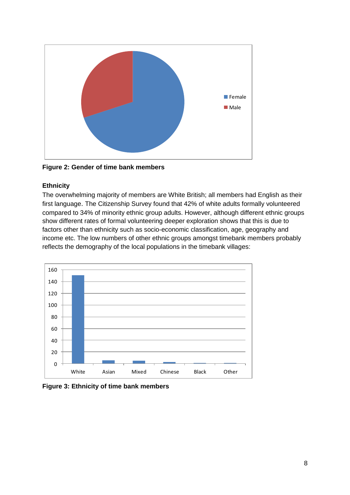

**Figure 2: Gender of time bank members**

#### **Ethnicity**

The overwhelming majority of members are White British; all members had English as their first language. The Citizenship Survey found that 42% of white adults formally volunteered compared to 34% of minority ethnic group adults. However, although different ethnic groups show different rates of formal volunteering deeper exploration shows that this is due to factors other than ethnicity such as socio-economic classification, age, geography and income etc. The low numbers of other ethnic groups amongst timebank members probably reflects the demography of the local populations in the timebank villages:



**Figure 3: Ethnicity of time bank members**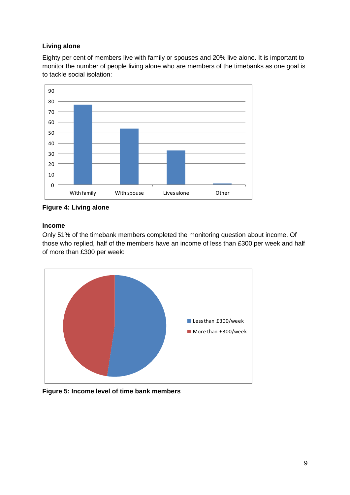#### **Living alone**

Eighty per cent of members live with family or spouses and 20% live alone. It is important to monitor the number of people living alone who are members of the timebanks as one goal is



**Figure 4: Living alone**

#### **Income**

Only 51% of the timebank members completed the monitoring question about income. Of those who replied, half of the members have an income of less than £300 per week and half of more than £300 per week:



**Figure 5: Income level of time bank members**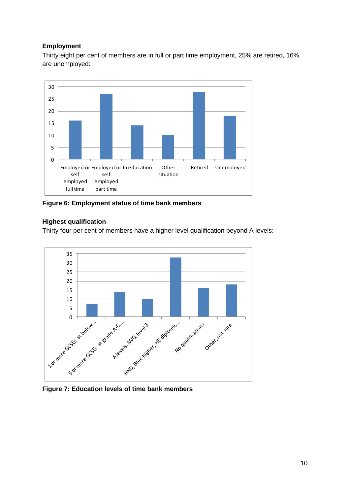#### **Employment**

Thirty eight per cent of members are in full or part time employment, 25% are retired, 16% are unemployed:



**Figure 6: Employment status of time bank members**

#### **Highest qualification**

Thirty four per cent of members have a higher level qualification beyond A levels:

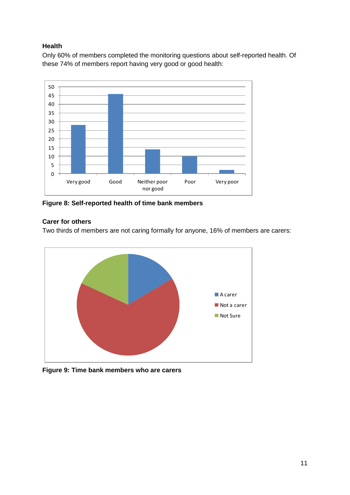#### **Health**

Only 60% of members completed the monitoring questions about self-reported health. Of these 74% of members report having very good or good health:



**Figure 8: Self-reported health of time bank members**

#### **Carer for others**

Two thirds of members are not caring formally for anyone, 16% of members are carers:



**Figure 9: Time bank members who are carers**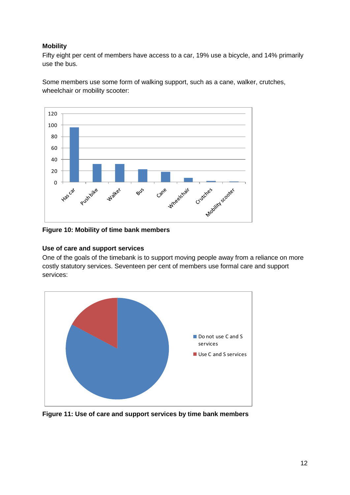#### **Mobility**

Fifty eight per cent of members have access to a car, 19% use a bicycle, and 14% primarily use the bus.

Some members use some form of walking support, such as a cane, walker, crutches, wheelchair or mobility scooter:



**Figure 10: Mobility of time bank members**

#### **Use of care and support services**

One of the goals of the timebank is to support moving people away from a reliance on more costly statutory services. Seventeen per cent of members use formal care and support services:



**Figure 11: Use of care and support services by time bank members**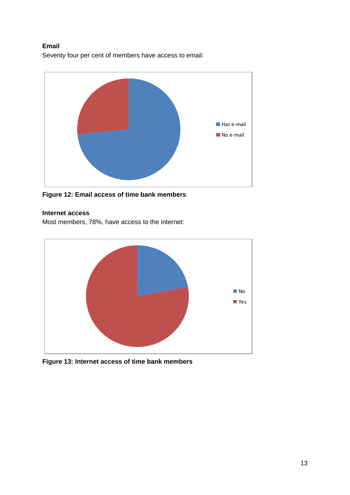#### **Email**

Seventy four per cent of members have access to email:



**Figure 12: Email access of time bank members**

#### **Internet access**

Most members, 78%, have access to the internet:



**Figure 13: Internet access of time bank members**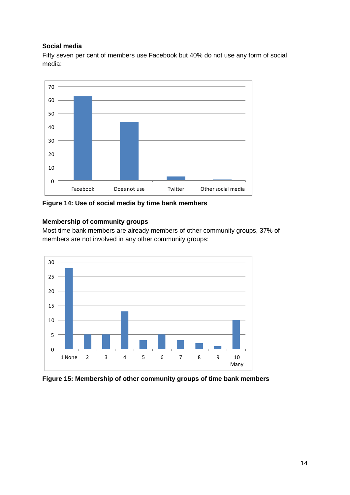#### **Social media**

Fifty seven per cent of members use Facebook but 40% do not use any form of social media:



**Figure 14: Use of social media by time bank members**

#### **Membership of community groups**

Most time bank members are already members of other community groups, 37% of members are not involved in any other community groups:



**Figure 15: Membership of other community groups of time bank members**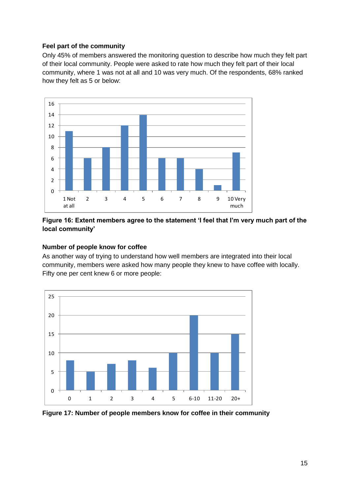#### **Feel part of the community**

Only 45% of members answered the monitoring question to describe how much they felt part of their local community. People were asked to rate how much they felt part of their local community, where 1 was not at all and 10 was very much. Of the respondents, 68% ranked how they felt as 5 or below:



#### **Figure 16: Extent members agree to the statement 'I feel that I'm very much part of the local community'**

#### **Number of people know for coffee**

As another way of trying to understand how well members are integrated into their local community, members were asked how many people they knew to have coffee with locally. Fifty one per cent knew 6 or more people:



**Figure 17: Number of people members know for coffee in their community**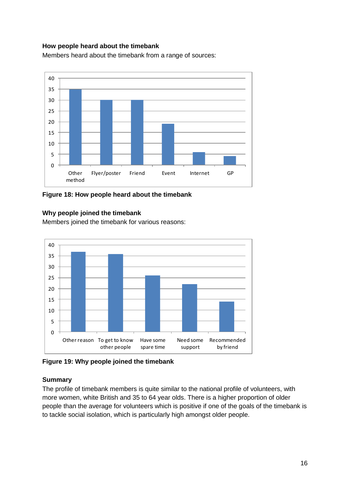#### **How people heard about the timebank**

Members heard about the timebank from a range of sources:



**Figure 18: How people heard about the timebank**

#### **Why people joined the timebank**

Members joined the timebank for various reasons:



**Figure 19: Why people joined the timebank**

#### **Summary**

The profile of timebank members is quite similar to the national profile of volunteers, with more women, white British and 35 to 64 year olds. There is a higher proportion of older people than the average for volunteers which is positive if one of the goals of the timebank is to tackle social isolation, which is particularly high amongst older people.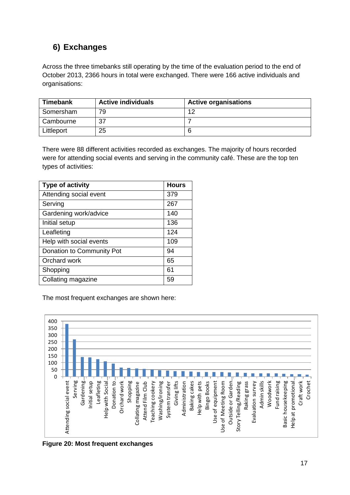# **6) Exchanges**

Across the three timebanks still operating by the time of the evaluation period to the end of October 2013, 2366 hours in total were exchanged. There were 166 active individuals and organisations:

| <b>Timebank</b> | <b>Active individuals</b> | <b>Active organisations</b> |
|-----------------|---------------------------|-----------------------------|
| Somersham       | 79                        | 10                          |
| Cambourne       |                           |                             |
| Littleport      | 25                        |                             |

There were 88 different activities recorded as exchanges. The majority of hours recorded were for attending social events and serving in the community café. These are the top ten types of activities:

| <b>Type of activity</b>   | <b>Hours</b> |
|---------------------------|--------------|
| Attending social event    | 379          |
| Serving                   | 267          |
| Gardening work/advice     | 140          |
| Initial setup             | 136          |
| Leafleting                | 124          |
| Help with social events   | 109          |
| Donation to Community Pot | 94           |
| Orchard work              | 65           |
| Shopping                  | 61           |
| Collating magazine        | 59           |

The most frequent exchanges are shown here:



**Figure 20: Most frequent exchanges**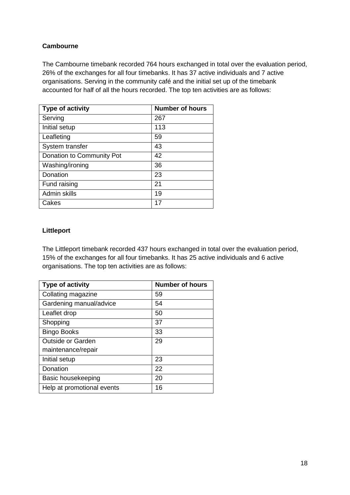#### **Cambourne**

The Cambourne timebank recorded 764 hours exchanged in total over the evaluation period, 26% of the exchanges for all four timebanks. It has 37 active individuals and 7 active organisations. Serving in the community café and the initial set up of the timebank accounted for half of all the hours recorded. The top ten activities are as follows:

| <b>Type of activity</b>   | <b>Number of hours</b> |
|---------------------------|------------------------|
| Serving                   | 267                    |
| Initial setup             | 113                    |
| Leafleting                | 59                     |
| System transfer           | 43                     |
| Donation to Community Pot | 42                     |
| Washing/ironing           | 36                     |
| Donation                  | 23                     |
| Fund raising              | 21                     |
| Admin skills              | 19                     |
| Cakes                     | 17                     |

#### **Littleport**

The Littleport timebank recorded 437 hours exchanged in total over the evaluation period, 15% of the exchanges for all four timebanks. It has 25 active individuals and 6 active organisations. The top ten activities are as follows:

| <b>Type of activity</b>    | <b>Number of hours</b> |
|----------------------------|------------------------|
| Collating magazine         | 59                     |
| Gardening manual/advice    | 54                     |
| Leaflet drop               | 50                     |
| Shopping                   | 37                     |
| <b>Bingo Books</b>         | 33                     |
| <b>Outside or Garden</b>   | 29                     |
| maintenance/repair         |                        |
| Initial setup              | 23                     |
| Donation                   | 22                     |
| Basic housekeeping         | 20                     |
| Help at promotional events | 16                     |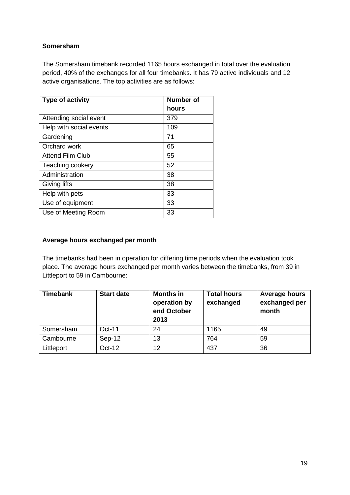#### **Somersham**

The Somersham timebank recorded 1165 hours exchanged in total over the evaluation period, 40% of the exchanges for all four timebanks. It has 79 active individuals and 12 active organisations. The top activities are as follows:

| <b>Type of activity</b> | <b>Number of</b> |
|-------------------------|------------------|
|                         | hours            |
| Attending social event  | 379              |
| Help with social events | 109              |
| Gardening               | 71               |
| Orchard work            | 65               |
| Attend Film Club        | 55               |
| Teaching cookery        | 52               |
| Administration          | 38               |
| Giving lifts            | 38               |
| Help with pets          | 33               |
| Use of equipment        | 33               |
| Use of Meeting Room     | 33               |

#### **Average hours exchanged per month**

The timebanks had been in operation for differing time periods when the evaluation took place. The average hours exchanged per month varies between the timebanks, from 39 in Littleport to 59 in Cambourne:

| <b>Timebank</b> | <b>Start date</b> | <b>Months in</b><br>operation by<br>end October<br>2013 | <b>Total hours</b><br>exchanged | <b>Average hours</b><br>exchanged per<br>month |
|-----------------|-------------------|---------------------------------------------------------|---------------------------------|------------------------------------------------|
| Somersham       | Oct-11            | 24                                                      | 1165                            | 49                                             |
| Cambourne       | Sep-12            | 13                                                      | 764                             | 59                                             |
| Littleport      | Oct-12            | 12                                                      | 437                             | 36                                             |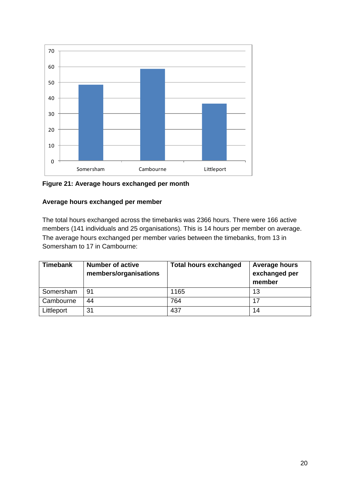

**Figure 21: Average hours exchanged per month**

#### **Average hours exchanged per member**

The total hours exchanged across the timebanks was 2366 hours. There were 166 active members (141 individuals and 25 organisations). This is 14 hours per member on average. The average hours exchanged per member varies between the timebanks, from 13 in Somersham to 17 in Cambourne:

| <b>Timebank</b> | <b>Number of active</b><br>members/organisations | <b>Total hours exchanged</b> | Average hours<br>exchanged per<br>member |
|-----------------|--------------------------------------------------|------------------------------|------------------------------------------|
| Somersham       | 91                                               | 1165                         | 13                                       |
| Cambourne       | 44                                               | 764                          | 17                                       |
| Littleport      | 31                                               | 437                          | 14                                       |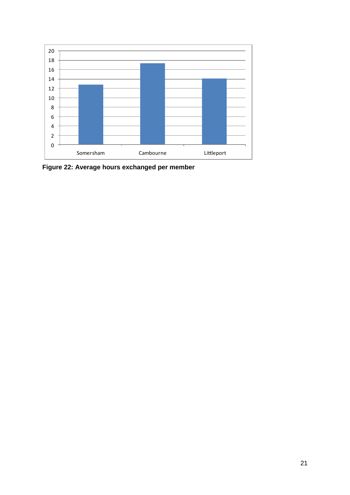

**Figure 22: Average hours exchanged per member**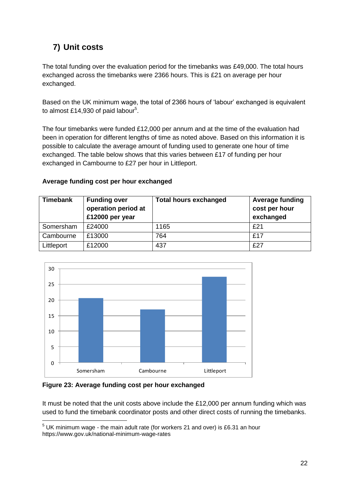# **7) Unit costs**

The total funding over the evaluation period for the timebanks was £49,000. The total hours exchanged across the timebanks were 2366 hours. This is £21 on average per hour exchanged.

Based on the UK minimum wage, the total of 2366 hours of 'labour' exchanged is equivalent to almost £14,930 of paid labour<sup>5</sup>.

The four timebanks were funded £12,000 per annum and at the time of the evaluation had been in operation for different lengths of time as noted above. Based on this information it is possible to calculate the average amount of funding used to generate one hour of time exchanged. The table below shows that this varies between £17 of funding per hour exchanged in Cambourne to £27 per hour in Littleport.

#### **Average funding cost per hour exchanged**

| <b>Timebank</b> | <b>Funding over</b><br>operation period at<br>£12000 per year | <b>Total hours exchanged</b> | <b>Average funding</b><br>cost per hour<br>exchanged |
|-----------------|---------------------------------------------------------------|------------------------------|------------------------------------------------------|
| Somersham       | £24000                                                        | 1165                         | £21                                                  |
| Cambourne       | £13000                                                        | 764                          | £17                                                  |
| Littleport      | £12000                                                        | 437                          | £27                                                  |



**Figure 23: Average funding cost per hour exchanged**

<u>.</u>

It must be noted that the unit costs above include the £12,000 per annum funding which was used to fund the timebank coordinator posts and other direct costs of running the timebanks.

 $5$  UK minimum wage - the main adult rate (for workers 21 and over) is £6.31 an hour https://www.gov.uk/national-minimum-wage-rates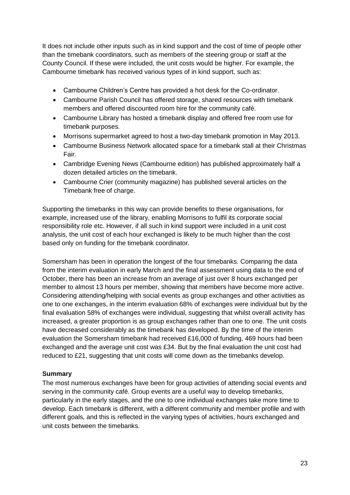It does not include other inputs such as in kind support and the cost of time of people other than the timebank coordinators, such as members of the steering group or staff at the County Council. If these were included, the unit costs would be higher. For example, the Cambourne timebank has received various types of in kind support, such as:

- Cambourne Children's Centre has provided a hot desk for the Co-ordinator.
- Cambourne Parish Council has offered storage, shared resources with timebank members and offered discounted room hire for the community café.
- Cambourne Library has hosted a timebank display and offered free room use for timebank purposes.
- Morrisons supermarket agreed to host a two-day timebank promotion in May 2013.
- Cambourne Business Network allocated space for a timebank stall at their Christmas Fair.
- Cambridge Evening News (Cambourne edition) has published approximately half a dozen detailed articles on the timebank.
- Cambourne Crier (community magazine) has published several articles on the Timebank free of charge.

Supporting the timebanks in this way can provide benefits to these organisations, for example, increased use of the library, enabling Morrisons to fulfil its corporate social responsibility role etc. However, if all such in kind support were included in a unit cost analysis, the unit cost of each hour exchanged is likely to be much higher than the cost based only on funding for the timebank coordinator.

Somersham has been in operation the longest of the four timebanks. Comparing the data from the interim evaluation in early March and the final assessment using data to the end of October, there has been an increase from an average of just over 8 hours exchanged per member to almost 13 hours per member, showing that members have become more active. Considering attending/helping with social events as group exchanges and other activities as one to one exchanges, in the interim evaluation 68% of exchanges were individual but by the final evaluation 58% of exchanges were individual, suggesting that whilst overall activity has increased, a greater proportion is as group exchanges rather than one to one. The unit costs have decreased considerably as the timebank has developed. By the time of the interim evaluation the Somersham timebank had received £16,000 of funding, 469 hours had been exchanged and the average unit cost was £34. But by the final evaluation the unit cost had reduced to £21, suggesting that unit costs will come down as the timebanks develop.

#### **Summary**

The most numerous exchanges have been for group activities of attending social events and serving in the community café. Group events are a useful way to develop timebanks, particularly in the early stages, and the one to one individual exchanges take more time to develop. Each timebank is different, with a different community and member profile and with different goals, and this is reflected in the varying types of activities, hours exchanged and unit costs between the timebanks.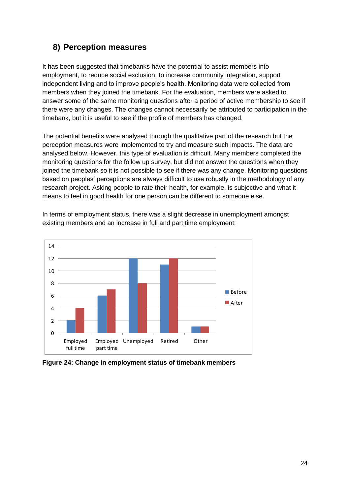### **8) Perception measures**

It has been suggested that timebanks have the potential to assist members into employment, to reduce social exclusion, to increase community integration, support independent living and to improve people's health. Monitoring data were collected from members when they joined the timebank. For the evaluation, members were asked to answer some of the same monitoring questions after a period of active membership to see if there were any changes. The changes cannot necessarily be attributed to participation in the timebank, but it is useful to see if the profile of members has changed.

The potential benefits were analysed through the qualitative part of the research but the perception measures were implemented to try and measure such impacts. The data are analysed below. However, this type of evaluation is difficult. Many members completed the monitoring questions for the follow up survey, but did not answer the questions when they joined the timebank so it is not possible to see if there was any change. Monitoring questions based on peoples' perceptions are always difficult to use robustly in the methodology of any research project. Asking people to rate their health, for example, is subjective and what it means to feel in good health for one person can be different to someone else.

In terms of employment status, there was a slight decrease in unemployment amongst existing members and an increase in full and part time employment:



**Figure 24: Change in employment status of timebank members**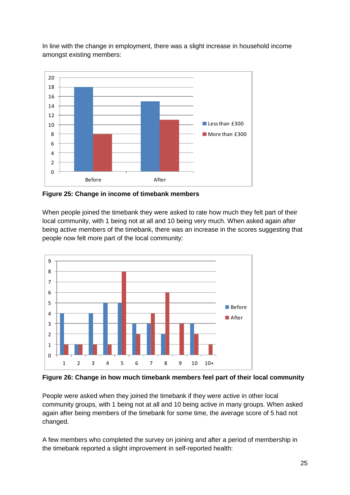In line with the change in employment, there was a slight increase in household income amongst existing members:



**Figure 25: Change in income of timebank members**

When people joined the timebank they were asked to rate how much they felt part of their local community, with 1 being not at all and 10 being very much. When asked again after being active members of the timebank, there was an increase in the scores suggesting that people now felt more part of the local community:



**Figure 26: Change in how much timebank members feel part of their local community**

People were asked when they joined the timebank if they were active in other local community groups, with 1 being not at all and 10 being active in many groups. When asked again after being members of the timebank for some time, the average score of 5 had not changed.

A few members who completed the survey on joining and after a period of membership in the timebank reported a slight improvement in self-reported health: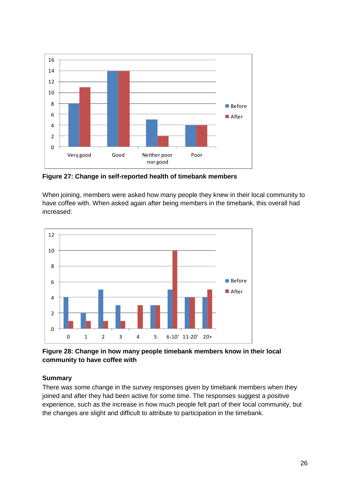

**Figure 27: Change in self-reported health of timebank members**

When joining, members were asked how many people they knew in their local community to have coffee with. When asked again after being members in the timebank, this overall had increased:



**Figure 28: Change in how many people timebank members know in their local community to have coffee with**

#### **Summary**

There was some change in the survey responses given by timebank members when they joined and after they had been active for some time. The responses suggest a positive experience, such as the increase in how much people felt part of their local community, but the changes are slight and difficult to attribute to participation in the timebank.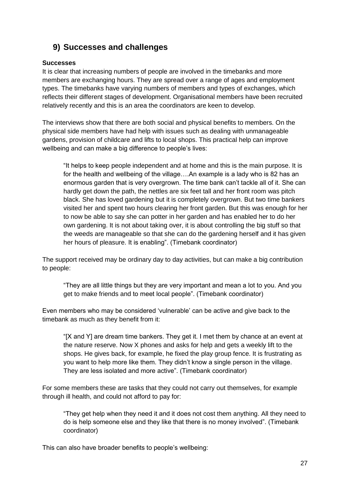## **9) Successes and challenges**

#### **Successes**

It is clear that increasing numbers of people are involved in the timebanks and more members are exchanging hours. They are spread over a range of ages and employment types. The timebanks have varying numbers of members and types of exchanges, which reflects their different stages of development. Organisational members have been recruited relatively recently and this is an area the coordinators are keen to develop.

The interviews show that there are both social and physical benefits to members. On the physical side members have had help with issues such as dealing with unmanageable gardens, provision of childcare and lifts to local shops. This practical help can improve wellbeing and can make a big difference to people's lives:

"It helps to keep people independent and at home and this is the main purpose. It is for the health and wellbeing of the village….An example is a lady who is 82 has an enormous garden that is very overgrown. The time bank can't tackle all of it. She can hardly get down the path, the nettles are six feet tall and her front room was pitch black. She has loved gardening but it is completely overgrown. But two time bankers visited her and spent two hours clearing her front garden. But this was enough for her to now be able to say she can potter in her garden and has enabled her to do her own gardening. It is not about taking over, it is about controlling the big stuff so that the weeds are manageable so that she can do the gardening herself and it has given her hours of pleasure. It is enabling". (Timebank coordinator)

The support received may be ordinary day to day activities, but can make a big contribution to people:

"They are all little things but they are very important and mean a lot to you. And you get to make friends and to meet local people". (Timebank coordinator)

Even members who may be considered 'vulnerable' can be active and give back to the timebank as much as they benefit from it:

"[X and Y] are dream time bankers. They get it. I met them by chance at an event at the nature reserve. Now X phones and asks for help and gets a weekly lift to the shops. He gives back, for example, he fixed the play group fence. It is frustrating as you want to help more like them. They didn't know a single person in the village. They are less isolated and more active". (Timebank coordinator)

For some members these are tasks that they could not carry out themselves, for example through ill health, and could not afford to pay for:

"They get help when they need it and it does not cost them anything. All they need to do is help someone else and they like that there is no money involved". (Timebank coordinator)

This can also have broader benefits to people's wellbeing: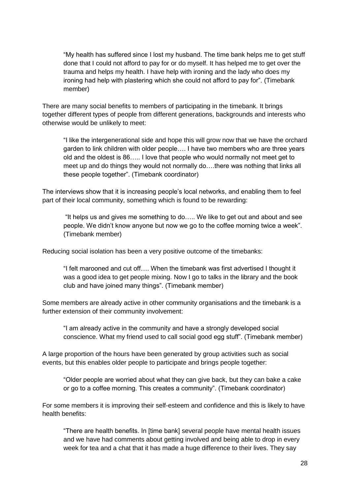"My health has suffered since I lost my husband. The time bank helps me to get stuff done that I could not afford to pay for or do myself. It has helped me to get over the trauma and helps my health. I have help with ironing and the lady who does my ironing had help with plastering which she could not afford to pay for". (Timebank member)

There are many social benefits to members of participating in the timebank. It brings together different types of people from different generations, backgrounds and interests who otherwise would be unlikely to meet:

"I like the intergenerational side and hope this will grow now that we have the orchard garden to link children with older people…. I have two members who are three years old and the oldest is 86….. I love that people who would normally not meet get to meet up and do things they would not normally do….there was nothing that links all these people together". (Timebank coordinator)

The interviews show that it is increasing people's local networks, and enabling them to feel part of their local community, something which is found to be rewarding:

"It helps us and gives me something to do….. We like to get out and about and see people. We didn't know anyone but now we go to the coffee morning twice a week". (Timebank member)

Reducing social isolation has been a very positive outcome of the timebanks:

"I felt marooned and cut off…. When the timebank was first advertised I thought it was a good idea to get people mixing. Now I go to talks in the library and the book club and have joined many things". (Timebank member)

Some members are already active in other community organisations and the timebank is a further extension of their community involvement:

"I am already active in the community and have a strongly developed social conscience. What my friend used to call social good egg stuff". (Timebank member)

A large proportion of the hours have been generated by group activities such as social events, but this enables older people to participate and brings people together:

"Older people are worried about what they can give back, but they can bake a cake or go to a coffee morning. This creates a community". (Timebank coordinator)

For some members it is improving their self-esteem and confidence and this is likely to have health benefits:

"There are health benefits. In [time bank] several people have mental health issues and we have had comments about getting involved and being able to drop in every week for tea and a chat that it has made a huge difference to their lives. They say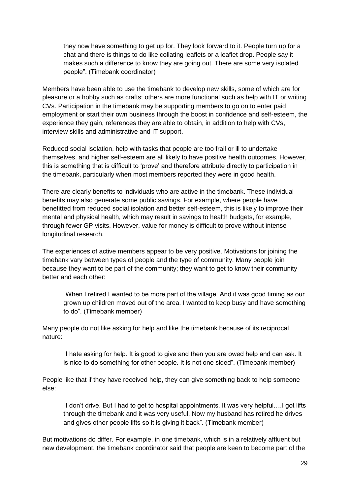they now have something to get up for. They look forward to it. People turn up for a chat and there is things to do like collating leaflets or a leaflet drop. People say it makes such a difference to know they are going out. There are some very isolated people". (Timebank coordinator)

Members have been able to use the timebank to develop new skills, some of which are for pleasure or a hobby such as crafts; others are more functional such as help with IT or writing CVs. Participation in the timebank may be supporting members to go on to enter paid employment or start their own business through the boost in confidence and self-esteem, the experience they gain, references they are able to obtain, in addition to help with CVs, interview skills and administrative and IT support.

Reduced social isolation, help with tasks that people are too frail or ill to undertake themselves, and higher self-esteem are all likely to have positive health outcomes. However, this is something that is difficult to 'prove' and therefore attribute directly to participation in the timebank, particularly when most members reported they were in good health.

There are clearly benefits to individuals who are active in the timebank. These individual benefits may also generate some public savings. For example, where people have benefitted from reduced social isolation and better self-esteem, this is likely to improve their mental and physical health, which may result in savings to health budgets, for example, through fewer GP visits. However, value for money is difficult to prove without intense longitudinal research.

The experiences of active members appear to be very positive. Motivations for joining the timebank vary between types of people and the type of community. Many people join because they want to be part of the community; they want to get to know their community better and each other:

"When I retired I wanted to be more part of the village. And it was good timing as our grown up children moved out of the area. I wanted to keep busy and have something to do". (Timebank member)

Many people do not like asking for help and like the timebank because of its reciprocal nature:

"I hate asking for help. It is good to give and then you are owed help and can ask. It is nice to do something for other people. It is not one sided". (Timebank member)

People like that if they have received help, they can give something back to help someone else:

"I don't drive. But I had to get to hospital appointments. It was very helpful….I got lifts through the timebank and it was very useful. Now my husband has retired he drives and gives other people lifts so it is giving it back". (Timebank member)

But motivations do differ. For example, in one timebank, which is in a relatively affluent but new development, the timebank coordinator said that people are keen to become part of the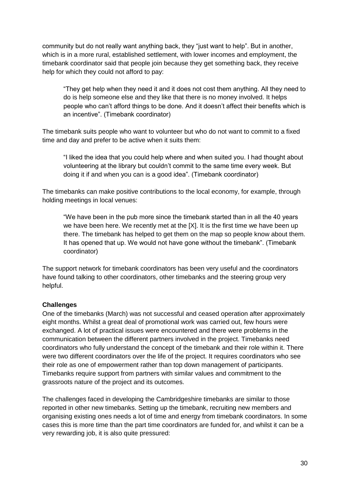community but do not really want anything back, they "just want to help". But in another, which is in a more rural, established settlement, with lower incomes and employment, the timebank coordinator said that people join because they get something back, they receive help for which they could not afford to pay:

"They get help when they need it and it does not cost them anything. All they need to do is help someone else and they like that there is no money involved. It helps people who can't afford things to be done. And it doesn't affect their benefits which is an incentive". (Timebank coordinator)

The timebank suits people who want to volunteer but who do not want to commit to a fixed time and day and prefer to be active when it suits them:

"I liked the idea that you could help where and when suited you. I had thought about volunteering at the library but couldn't commit to the same time every week. But doing it if and when you can is a good idea". (Timebank coordinator)

The timebanks can make positive contributions to the local economy, for example, through holding meetings in local venues:

"We have been in the pub more since the timebank started than in all the 40 years we have been here. We recently met at the [X]. It is the first time we have been up there. The timebank has helped to get them on the map so people know about them. It has opened that up. We would not have gone without the timebank". (Timebank coordinator)

The support network for timebank coordinators has been very useful and the coordinators have found talking to other coordinators, other timebanks and the steering group very helpful.

#### **Challenges**

One of the timebanks (March) was not successful and ceased operation after approximately eight months. Whilst a great deal of promotional work was carried out, few hours were exchanged. A lot of practical issues were encountered and there were problems in the communication between the different partners involved in the project. Timebanks need coordinators who fully understand the concept of the timebank and their role within it. There were two different coordinators over the life of the project. It requires coordinators who see their role as one of empowerment rather than top down management of participants. Timebanks require support from partners with similar values and commitment to the grassroots nature of the project and its outcomes.

The challenges faced in developing the Cambridgeshire timebanks are similar to those reported in other new timebanks. Setting up the timebank, recruiting new members and organising existing ones needs a lot of time and energy from timebank coordinators. In some cases this is more time than the part time coordinators are funded for, and whilst it can be a very rewarding job, it is also quite pressured: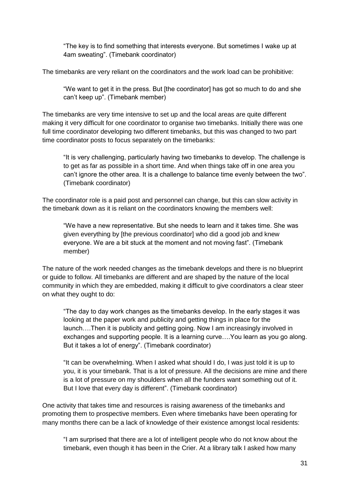"The key is to find something that interests everyone. But sometimes I wake up at 4am sweating". (Timebank coordinator)

The timebanks are very reliant on the coordinators and the work load can be prohibitive:

"We want to get it in the press. But [the coordinator] has got so much to do and she can't keep up". (Timebank member)

The timebanks are very time intensive to set up and the local areas are quite different making it very difficult for one coordinator to organise two timebanks. Initially there was one full time coordinator developing two different timebanks, but this was changed to two part time coordinator posts to focus separately on the timebanks:

"It is very challenging, particularly having two timebanks to develop. The challenge is to get as far as possible in a short time. And when things take off in one area you can't ignore the other area. It is a challenge to balance time evenly between the two". (Timebank coordinator)

The coordinator role is a paid post and personnel can change, but this can slow activity in the timebank down as it is reliant on the coordinators knowing the members well:

"We have a new representative. But she needs to learn and it takes time. She was given everything by [the previous coordinator] who did a good job and knew everyone. We are a bit stuck at the moment and not moving fast". (Timebank member)

The nature of the work needed changes as the timebank develops and there is no blueprint or guide to follow. All timebanks are different and are shaped by the nature of the local community in which they are embedded, making it difficult to give coordinators a clear steer on what they ought to do:

"The day to day work changes as the timebanks develop. In the early stages it was looking at the paper work and publicity and getting things in place for the launch….Then it is publicity and getting going. Now I am increasingly involved in exchanges and supporting people. It is a learning curve….You learn as you go along. But it takes a lot of energy". (Timebank coordinator)

"It can be overwhelming. When I asked what should I do, I was just told it is up to you, it is your timebank. That is a lot of pressure. All the decisions are mine and there is a lot of pressure on my shoulders when all the funders want something out of it. But I love that every day is different". (Timebank coordinator)

One activity that takes time and resources is raising awareness of the timebanks and promoting them to prospective members. Even where timebanks have been operating for many months there can be a lack of knowledge of their existence amongst local residents:

"I am surprised that there are a lot of intelligent people who do not know about the timebank, even though it has been in the Crier. At a library talk I asked how many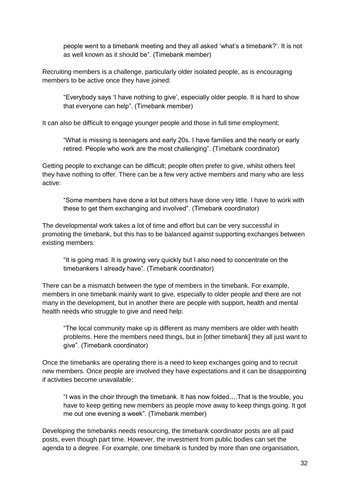people went to a timebank meeting and they all asked 'what's a timebank?'. It is not as well known as it should be". (Timebank member)

Recruiting members is a challenge, particularly older isolated people, as is encouraging members to be active once they have joined:

"Everybody says 'I have nothing to give', especially older people. It is hard to show that everyone can help". (Timebank member)

It can also be difficult to engage younger people and those in full time employment:

"What is missing is teenagers and early 20s. I have families and the nearly or early retired. People who work are the most challenging". (Timebank coordinator)

Getting people to exchange can be difficult; people often prefer to give, whilst others feel they have nothing to offer. There can be a few very active members and many who are less active:

"Some members have done a lot but others have done very little. I have to work with these to get them exchanging and involved". (Timebank coordinator)

The developmental work takes a lot of time and effort but can be very successful in promoting the timebank, but this has to be balanced against supporting exchanges between existing members:

"It is going mad. It is growing very quickly but I also need to concentrate on the timebankers I already have". (Timebank coordinator)

There can be a mismatch between the type of members in the timebank. For example, members in one timebank mainly want to give, especially to older people and there are not many in the development, but in another there are people with support, health and mental health needs who struggle to give and need help:

"The local community make up is different as many members are older with health problems. Here the members need things, but in [other timebank] they all just want to give". (Timebank coordinator)

Once the timebanks are operating there is a need to keep exchanges going and to recruit new members. Once people are involved they have expectations and it can be disappointing if activities become unavailable:

"I was in the choir through the timebank. It has now folded….That is the trouble, you have to keep getting new members as people move away to keep things going. It got me out one evening a week". (Timebank member)

Developing the timebanks needs resourcing, the timebank coordinator posts are all paid posts, even though part time. However, the investment from public bodies can set the agenda to a degree. For example, one timebank is funded by more than one organisation,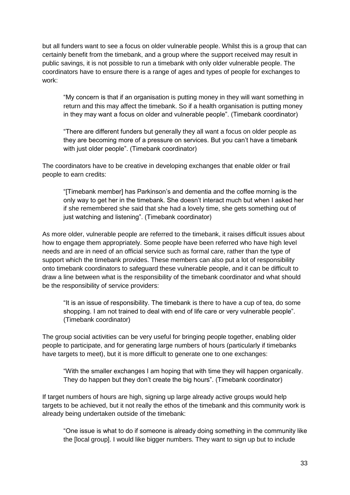but all funders want to see a focus on older vulnerable people. Whilst this is a group that can certainly benefit from the timebank, and a group where the support received may result in public savings, it is not possible to run a timebank with only older vulnerable people. The coordinators have to ensure there is a range of ages and types of people for exchanges to work:

"My concern is that if an organisation is putting money in they will want something in return and this may affect the timebank. So if a health organisation is putting money in they may want a focus on older and vulnerable people". (Timebank coordinator)

"There are different funders but generally they all want a focus on older people as they are becoming more of a pressure on services. But you can't have a timebank with just older people". (Timebank coordinator)

The coordinators have to be creative in developing exchanges that enable older or frail people to earn credits:

"[Timebank member] has Parkinson's and dementia and the coffee morning is the only way to get her in the timebank. She doesn't interact much but when I asked her if she remembered she said that she had a lovely time, she gets something out of just watching and listening". (Timebank coordinator)

As more older, vulnerable people are referred to the timebank, it raises difficult issues about how to engage them appropriately. Some people have been referred who have high level needs and are in need of an official service such as formal care, rather than the type of support which the timebank provides. These members can also put a lot of responsibility onto timebank coordinators to safeguard these vulnerable people, and it can be difficult to draw a line between what is the responsibility of the timebank coordinator and what should be the responsibility of service providers:

"It is an issue of responsibility. The timebank is there to have a cup of tea, do some shopping. I am not trained to deal with end of life care or very vulnerable people". (Timebank coordinator)

The group social activities can be very useful for bringing people together, enabling older people to participate, and for generating large numbers of hours (particularly if timebanks have targets to meet), but it is more difficult to generate one to one exchanges:

"With the smaller exchanges I am hoping that with time they will happen organically. They do happen but they don't create the big hours". (Timebank coordinator)

If target numbers of hours are high, signing up large already active groups would help targets to be achieved, but it not really the ethos of the timebank and this community work is already being undertaken outside of the timebank:

"One issue is what to do if someone is already doing something in the community like the [local group]. I would like bigger numbers. They want to sign up but to include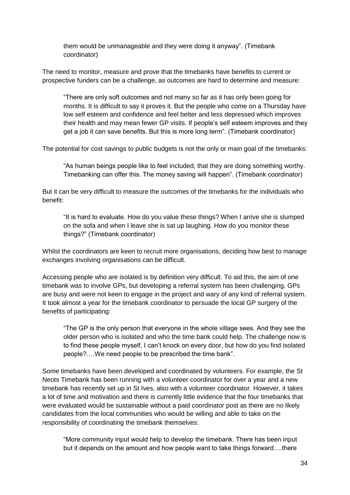them would be unmanageable and they were doing it anyway". (Timebank coordinator)

The need to monitor, measure and prove that the timebanks have benefits to current or prospective funders can be a challenge, as outcomes are hard to determine and measure:

"There are only soft outcomes and not many so far as it has only been going for months. It is difficult to say it proves it. But the people who come on a Thursday have low self esteem and confidence and feel better and less depressed which improves their health and may mean fewer GP visits. If people's self esteem improves and they get a job it can save benefits. But this is more long term". (Timebank coordinator)

The potential for cost savings to public budgets is not the only or main goal of the timebanks:

"As human beings people like to feel included, that they are doing something worthy. Timebanking can offer this. The money saving will happen". (Timebank coordinator)

But it can be very difficult to measure the outcomes of the timebanks for the individuals who benefit:

"It is hard to evaluate. How do you value these things? When I arrive she is slumped on the sofa and when I leave she is sat up laughing. How do you monitor these things?" (Timebank coordinator)

Whilst the coordinators are keen to recruit more organisations, deciding how best to manage exchanges involving organisations can be difficult.

Accessing people who are isolated is by definition very difficult. To aid this, the aim of one timebank was to involve GPs, but developing a referral system has been challenging. GPs are busy and were not keen to engage in the project and wary of any kind of referral system. It took almost a year for the timebank coordinator to persuade the local GP surgery of the benefits of participating:

"The GP is the only person that everyone in the whole village sees. And they see the older person who is isolated and who the time bank could help. The challenge now is to find these people myself, I can't knock on every door, but how do you find isolated people?.…We need people to be prescribed the time bank".

Some timebanks have been developed and coordinated by volunteers. For example, the St Neots Timebank has been running with a volunteer coordinator for over a year and a new timebank has recently set up in St Ives, also with a volunteer coordinator. However, it takes a lot of time and motivation and there is currently little evidence that the four timebanks that were evaluated would be sustainable without a paid coordinator post as there are no likely candidates from the local communities who would be willing and able to take on the responsibility of coordinating the timebank themselves:

"More community input would help to develop the timebank. There has been input but it depends on the amount and how people want to take things forward….there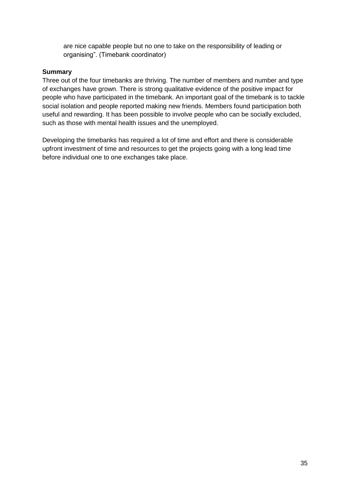are nice capable people but no one to take on the responsibility of leading or organising". (Timebank coordinator)

#### **Summary**

Three out of the four timebanks are thriving. The number of members and number and type of exchanges have grown. There is strong qualitative evidence of the positive impact for people who have participated in the timebank. An important goal of the timebank is to tackle social isolation and people reported making new friends. Members found participation both useful and rewarding. It has been possible to involve people who can be socially excluded, such as those with mental health issues and the unemployed.

Developing the timebanks has required a lot of time and effort and there is considerable upfront investment of time and resources to get the projects going with a long lead time before individual one to one exchanges take place.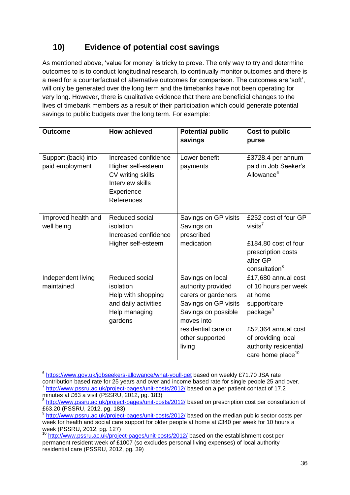# **10) Evidence of potential cost savings**

As mentioned above, 'value for money' is tricky to prove. The only way to try and determine outcomes to is to conduct longitudinal research, to continually monitor outcomes and there is a need for a counterfactual of alternative outcomes for comparison. The outcomes are 'soft', will only be generated over the long term and the timebanks have not been operating for very long. However, there is qualitative evidence that there are beneficial changes to the lives of timebank members as a result of their participation which could generate potential savings to public budgets over the long term. For example:

| <b>Outcome</b>                         | <b>How achieved</b>                                                                                             | <b>Potential public</b><br>savings                                                                                                                                             | Cost to public<br>purse                                                                                                                                                                               |
|----------------------------------------|-----------------------------------------------------------------------------------------------------------------|--------------------------------------------------------------------------------------------------------------------------------------------------------------------------------|-------------------------------------------------------------------------------------------------------------------------------------------------------------------------------------------------------|
| Support (back) into<br>paid employment | Increased confidence<br>Higher self-esteem<br>CV writing skills<br>Interview skills<br>Experience<br>References | Lower benefit<br>payments                                                                                                                                                      | £3728.4 per annum<br>paid in Job Seeker's<br>Allowance <sup>6</sup>                                                                                                                                   |
| Improved health and<br>well being      | Reduced social<br>isolation<br>Increased confidence<br>Higher self-esteem                                       | Savings on GP visits<br>Savings on<br>prescribed<br>medication                                                                                                                 | £252 cost of four GP<br>visits $7$<br>£184.80 cost of four<br>prescription costs<br>after GP<br>consultation <sup>8</sup>                                                                             |
| Independent living<br>maintained       | Reduced social<br>isolation<br>Help with shopping<br>and daily activities<br>Help managing<br>gardens           | Savings on local<br>authority provided<br>carers or gardeners<br>Savings on GP visits<br>Savings on possible<br>moves into<br>residential care or<br>other supported<br>living | £17,680 annual cost<br>of 10 hours per week<br>at home<br>support/care<br>package <sup>9</sup><br>£52,364 annual cost<br>of providing local<br>authority residential<br>care home place <sup>10</sup> |

<sup>&</sup>lt;u>.</u> <sup>6</sup> <https://www.gov.uk/jobseekers-allowance/what-youll-get> based on weekly £71.70 JSA rate

contribution based rate for 25 years and over and income based rate for single people 25 and over. 7 <http://www.pssru.ac.uk/project-pages/unit-costs/2012/> based on a per patient contact of 17.2 minutes at £63 a visit (PSSRU, 2012, pg. 183)

<sup>&</sup>lt;sup>8</sup> <http://www.pssru.ac.uk/project-pages/unit-costs/2012/> based on prescription cost per consultation of £63.20 (PSSRU, 2012, pg. 183)

<sup>&</sup>lt;sup>9</sup> <http://www.pssru.ac.uk/project-pages/unit-costs/2012/> based on the median public sector costs per week for health and social care support for older people at home at £340 per week for 10 hours a week (PSSRU, 2012, pg. 127)

<sup>&</sup>lt;sup>10</sup> <http://www.pssru.ac.uk/project-pages/unit-costs/2012/> based on the establishment cost per permanent resident week of £1007 (so excludes personal living expenses) of local authority residential care (PSSRU, 2012, pg. 39)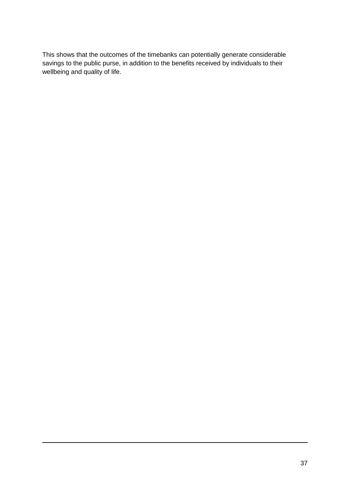This shows that the outcomes of the timebanks can potentially generate considerable savings to the public purse, in addition to the benefits received by individuals to their wellbeing and quality of life.

1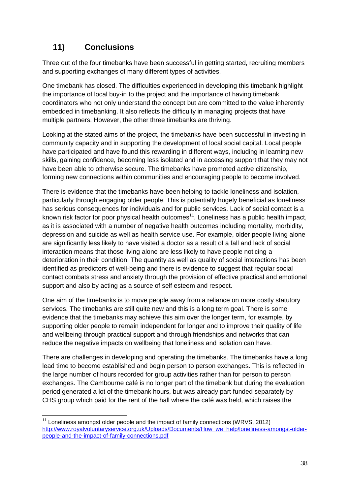# **11) Conclusions**

<u>.</u>

Three out of the four timebanks have been successful in getting started, recruiting members and supporting exchanges of many different types of activities.

One timebank has closed. The difficulties experienced in developing this timebank highlight the importance of local buy-in to the project and the importance of having timebank coordinators who not only understand the concept but are committed to the value inherently embedded in timebanking. It also reflects the difficulty in managing projects that have multiple partners. However, the other three timebanks are thriving.

Looking at the stated aims of the project, the timebanks have been successful in investing in community capacity and in supporting the development of local social capital. Local people have participated and have found this rewarding in different ways, including in learning new skills, gaining confidence, becoming less isolated and in accessing support that they may not have been able to otherwise secure. The timebanks have promoted active citizenship, forming new connections within communities and encouraging people to become involved.

There is evidence that the timebanks have been helping to tackle loneliness and isolation, particularly through engaging older people. This is potentially hugely beneficial as loneliness has serious consequences for individuals and for public services. Lack of social contact is a known risk factor for poor physical health outcomes<sup>11</sup>. Loneliness has a public health impact, as it is associated with a number of negative health outcomes including mortality, morbidity, depression and suicide as well as health service use. For example, older people living alone are significantly less likely to have visited a doctor as a result of a fall and lack of social interaction means that those living alone are less likely to have people noticing a deterioration in their condition. The quantity as well as quality of social interactions has been identified as predictors of well-being and there is evidence to suggest that regular social contact combats stress and anxiety through the provision of effective practical and emotional support and also by acting as a source of self esteem and respect.

One aim of the timebanks is to move people away from a reliance on more costly statutory services. The timebanks are still quite new and this is a long term goal. There is some evidence that the timebanks may achieve this aim over the longer term, for example, by supporting older people to remain independent for longer and to improve their quality of life and wellbeing through practical support and through friendships and networks that can reduce the negative impacts on wellbeing that loneliness and isolation can have.

There are challenges in developing and operating the timebanks. The timebanks have a long lead time to become established and begin person to person exchanges. This is reflected in the large number of hours recorded for group activities rather than for person to person exchanges. The Cambourne café is no longer part of the timebank but during the evaluation period generated a lot of the timebank hours, but was already part funded separately by CHS group which paid for the rent of the hall where the café was held, which raises the

 $11$  Loneliness amongst older people and the impact of family connections (WRVS, 2012) [http://www.royalvoluntaryservice.org.uk/Uploads/Documents/How\\_we\\_help/loneliness-amongst-older](http://www.royalvoluntaryservice.org.uk/Uploads/Documents/How_we_help/loneliness-amongst-older-people-and-the-impact-of-family-connections.pdf)[people-and-the-impact-of-family-connections.pdf](http://www.royalvoluntaryservice.org.uk/Uploads/Documents/How_we_help/loneliness-amongst-older-people-and-the-impact-of-family-connections.pdf)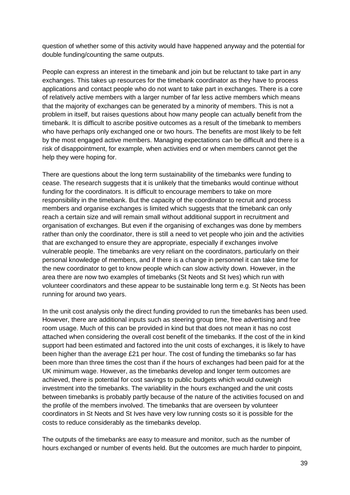question of whether some of this activity would have happened anyway and the potential for double funding/counting the same outputs.

People can express an interest in the timebank and join but be reluctant to take part in any exchanges. This takes up resources for the timebank coordinator as they have to process applications and contact people who do not want to take part in exchanges. There is a core of relatively active members with a larger number of far less active members which means that the majority of exchanges can be generated by a minority of members. This is not a problem in itself, but raises questions about how many people can actually benefit from the timebank. It is difficult to ascribe positive outcomes as a result of the timebank to members who have perhaps only exchanged one or two hours. The benefits are most likely to be felt by the most engaged active members. Managing expectations can be difficult and there is a risk of disappointment, for example, when activities end or when members cannot get the help they were hoping for.

There are questions about the long term sustainability of the timebanks were funding to cease. The research suggests that it is unlikely that the timebanks would continue without funding for the coordinators. It is difficult to encourage members to take on more responsibility in the timebank. But the capacity of the coordinator to recruit and process members and organise exchanges is limited which suggests that the timebank can only reach a certain size and will remain small without additional support in recruitment and organisation of exchanges. But even if the organising of exchanges was done by members rather than only the coordinator, there is still a need to vet people who join and the activities that are exchanged to ensure they are appropriate, especially if exchanges involve vulnerable people. The timebanks are very reliant on the coordinators, particularly on their personal knowledge of members, and if there is a change in personnel it can take time for the new coordinator to get to know people which can slow activity down. However, in the area there are now two examples of timebanks (St Neots and St Ives) which run with volunteer coordinators and these appear to be sustainable long term e.g. St Neots has been running for around two years.

In the unit cost analysis only the direct funding provided to run the timebanks has been used. However, there are additional inputs such as steering group time, free advertising and free room usage. Much of this can be provided in kind but that does not mean it has no cost attached when considering the overall cost benefit of the timebanks. If the cost of the in kind support had been estimated and factored into the unit costs of exchanges, it is likely to have been higher than the average £21 per hour. The cost of funding the timebanks so far has been more than three times the cost than if the hours of exchanges had been paid for at the UK minimum wage. However, as the timebanks develop and longer term outcomes are achieved, there is potential for cost savings to public budgets which would outweigh investment into the timebanks. The variability in the hours exchanged and the unit costs between timebanks is probably partly because of the nature of the activities focused on and the profile of the members involved. The timebanks that are overseen by volunteer coordinators in St Neots and St Ives have very low running costs so it is possible for the costs to reduce considerably as the timebanks develop.

The outputs of the timebanks are easy to measure and monitor, such as the number of hours exchanged or number of events held. But the outcomes are much harder to pinpoint,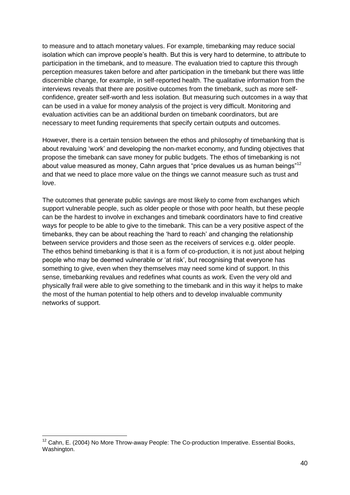to measure and to attach monetary values. For example, timebanking may reduce social isolation which can improve people's health. But this is very hard to determine, to attribute to participation in the timebank, and to measure. The evaluation tried to capture this through perception measures taken before and after participation in the timebank but there was little discernible change, for example, in self-reported health. The qualitative information from the interviews reveals that there are positive outcomes from the timebank, such as more selfconfidence, greater self-worth and less isolation. But measuring such outcomes in a way that can be used in a value for money analysis of the project is very difficult. Monitoring and evaluation activities can be an additional burden on timebank coordinators, but are necessary to meet funding requirements that specify certain outputs and outcomes.

However, there is a certain tension between the ethos and philosophy of timebanking that is about revaluing 'work' and developing the non-market economy, and funding objectives that propose the timebank can save money for public budgets. The ethos of timebanking is not about value measured as money, Cahn argues that "price devalues us as human beings"<sup>12</sup> and that we need to place more value on the things we cannot measure such as trust and love.

The outcomes that generate public savings are most likely to come from exchanges which support vulnerable people, such as older people or those with poor health, but these people can be the hardest to involve in exchanges and timebank coordinators have to find creative ways for people to be able to give to the timebank. This can be a very positive aspect of the timebanks, they can be about reaching the 'hard to reach' and changing the relationship between service providers and those seen as the receivers of services e.g. older people. The ethos behind timebanking is that it is a form of co-production, it is not just about helping people who may be deemed vulnerable or 'at risk', but recognising that everyone has something to give, even when they themselves may need some kind of support. In this sense, timebanking revalues and redefines what counts as work. Even the very old and physically frail were able to give something to the timebank and in this way it helps to make the most of the human potential to help others and to develop invaluable community networks of support.

1

<sup>&</sup>lt;sup>12</sup> Cahn, E. (2004) No More Throw-away People: The Co-production Imperative. Essential Books, Washington.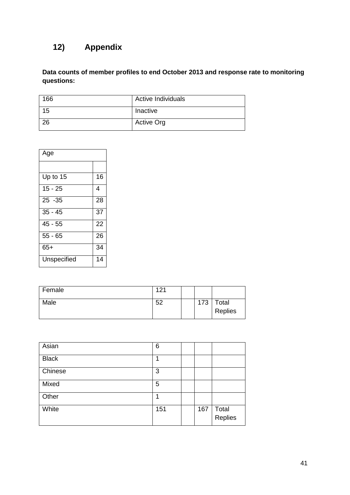# **12) Appendix**

**Data counts of member profiles to end October 2013 and response rate to monitoring questions:**

| 166 | <b>Active Individuals</b> |
|-----|---------------------------|
| 15  | Inactive                  |
| 26  | <b>Active Org</b>         |

| Age         |    |
|-------------|----|
|             |    |
| Up to 15    | 16 |
| 15 - 25     | 4  |
| $25 - 35$   | 28 |
| $35 - 45$   | 37 |
| $45 - 55$   | 22 |
| $55 - 65$   | 26 |
| $65+$       | 34 |
| Unspecified | 14 |

| Female | 121 |     |         |
|--------|-----|-----|---------|
| Male   | 52  | 173 | Total   |
|        |     |     | Replies |

| Asian        | 6   |     |                  |
|--------------|-----|-----|------------------|
| <b>Black</b> | 1   |     |                  |
| Chinese      | 3   |     |                  |
| Mixed        | 5   |     |                  |
| Other        | 1   |     |                  |
| White        | 151 | 167 | Total<br>Replies |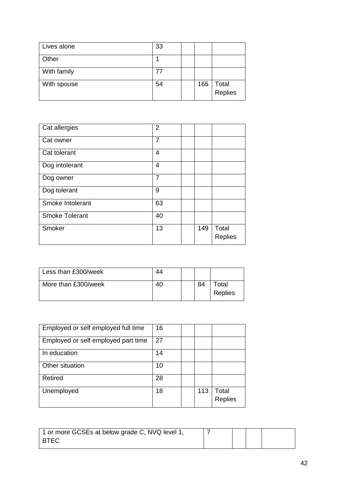| Lives alone | 33 |     |                  |
|-------------|----|-----|------------------|
| Other       |    |     |                  |
| With family |    |     |                  |
| With spouse | 54 | 165 | Total<br>Replies |

| Cat allergies         | $\overline{2}$ |     |                         |
|-----------------------|----------------|-----|-------------------------|
| Cat owner             | 7              |     |                         |
| Cat tolerant          | 4              |     |                         |
| Dog intolerant        | 4              |     |                         |
| Dog owner             | $\overline{7}$ |     |                         |
| Dog tolerant          | 9              |     |                         |
| Smoke Intolerant      | 63             |     |                         |
| <b>Smoke Tolerant</b> | 40             |     |                         |
| Smoker                | 13             | 149 | Total<br><b>Replies</b> |

| Less than £300/week |  |    |                                     |
|---------------------|--|----|-------------------------------------|
| More than £300/week |  | 84 | <sup>-</sup> otal<br><b>Replies</b> |

| Employed or self employed full time | 16 |     |                         |
|-------------------------------------|----|-----|-------------------------|
| Employed or self employed part time | 27 |     |                         |
| In education                        | 14 |     |                         |
| Other situation                     | 10 |     |                         |
| Retired                             | 28 |     |                         |
| Unemployed                          | 18 | 113 | Total<br><b>Replies</b> |

| 1 or more GCSEs at below grade C, NVQ level 1, |  |  |
|------------------------------------------------|--|--|
| <b>BTEC</b>                                    |  |  |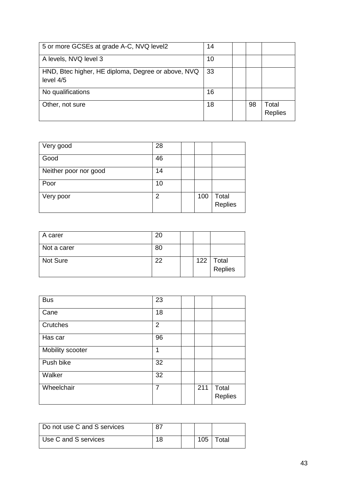| 5 or more GCSEs at grade A-C, NVQ level2                        | 14 |    |                         |
|-----------------------------------------------------------------|----|----|-------------------------|
| A levels, NVQ level 3                                           | 10 |    |                         |
| HND, Btec higher, HE diploma, Degree or above, NVQ<br>level 4/5 | 33 |    |                         |
| No qualifications                                               | 16 |    |                         |
| Other, not sure                                                 | 18 | 98 | Total<br><b>Replies</b> |

| Very good             | 28 |     |                  |
|-----------------------|----|-----|------------------|
| Good                  | 46 |     |                  |
| Neither poor nor good | 14 |     |                  |
| Poor                  | 10 |     |                  |
| Very poor             | 2  | 100 | Total<br>Replies |

| A carer     | 20 |     |                  |
|-------------|----|-----|------------------|
| Not a carer | 80 |     |                  |
| Not Sure    | າາ | 122 | Total<br>Replies |

| <b>Bus</b>       | 23             |     |                  |
|------------------|----------------|-----|------------------|
| Cane             | 18             |     |                  |
| Crutches         | $\overline{2}$ |     |                  |
| Has car          | 96             |     |                  |
| Mobility scooter | 1              |     |                  |
| Push bike        | 32             |     |                  |
| Walker           | 32             |     |                  |
| Wheelchair       | $\overline{7}$ | 211 | Total<br>Replies |

| Do not use C and S services |    |     |       |
|-----------------------------|----|-----|-------|
| Use C and S services        | 18 | 105 | Total |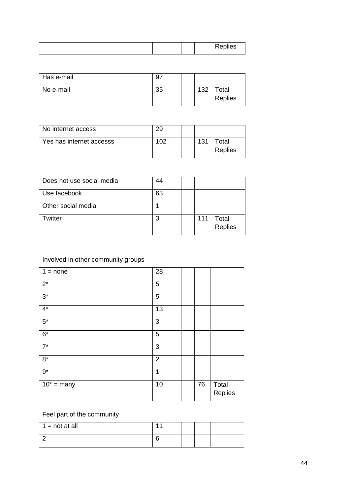| Has e-mail | 9. |     |                  |
|------------|----|-----|------------------|
| No e-mail  | 35 | 132 | Total<br>Replies |

| No internet access       |                 |     |                         |
|--------------------------|-----------------|-----|-------------------------|
| Yes has internet accesss | 10 <sup>o</sup> | 131 | ™otal<br><b>Replies</b> |

| Does not use social media | 44 |     |                  |
|---------------------------|----|-----|------------------|
| Use facebook              | 63 |     |                  |
| Other social media        |    |     |                  |
| Twitter                   | າ  | 111 | Total<br>Replies |

### Involved in other community groups

| $1 = none$               | 28             |    |                  |
|--------------------------|----------------|----|------------------|
| $2^*$                    | $\mathbf 5$    |    |                  |
| $3^*$                    | 5              |    |                  |
| $4*$                     | 13             |    |                  |
| $5^*$                    | 3              |    |                  |
| $6*$                     | $\mathbf 5$    |    |                  |
| $\overline{7}$           | 3              |    |                  |
| $8*$                     | $\overline{2}$ |    |                  |
| $9*$                     | 1              |    |                  |
| $\overline{10^*}$ = many | 10             | 76 | Total<br>Replies |

#### Feel part of the community

| $1 = not at all$ |  |  |
|------------------|--|--|
|                  |  |  |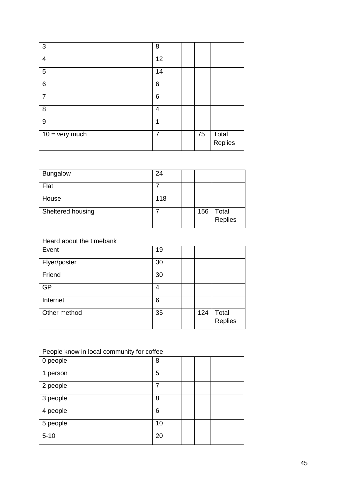| 3                       | 8  |    |                  |
|-------------------------|----|----|------------------|
| 4                       | 12 |    |                  |
| $\overline{5}$          | 14 |    |                  |
| $6\phantom{1}6$         | 6  |    |                  |
| 7                       | 6  |    |                  |
| 8                       | 4  |    |                  |
| $9\,$                   | 1  |    |                  |
| $10 = \text{very much}$ | 7  | 75 | Total<br>Replies |

| <b>Bungalow</b>   | 24  |     |                  |
|-------------------|-----|-----|------------------|
| Flat              |     |     |                  |
| House             | 118 |     |                  |
| Sheltered housing |     | 156 | Total<br>Replies |

Heard about the timebank

| Event        | 19 |     |                  |
|--------------|----|-----|------------------|
| Flyer/poster | 30 |     |                  |
| Friend       | 30 |     |                  |
| <b>GP</b>    | 4  |     |                  |
| Internet     | 6  |     |                  |
| Other method | 35 | 124 | Total<br>Replies |

### People know in local community for coffee

| 0 people | 8  |  |  |
|----------|----|--|--|
| 1 person | 5  |  |  |
| 2 people |    |  |  |
| 3 people | 8  |  |  |
| 4 people | 6  |  |  |
| 5 people | 10 |  |  |
| $5 - 10$ | 20 |  |  |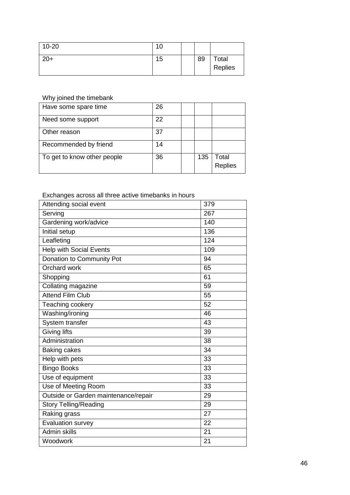| $10 - 20$ | u  |    |                  |
|-----------|----|----|------------------|
| $20+$     | 15 | 89 | Total<br>Replies |

Why joined the timebank

| Have some spare time        | 26 |     |                         |
|-----------------------------|----|-----|-------------------------|
| Need some support           | 22 |     |                         |
| Other reason                | 37 |     |                         |
| Recommended by friend       | 14 |     |                         |
| To get to know other people | 36 | 135 | Total<br><b>Replies</b> |

### Exchanges across all three active timebanks in hours

| Attending social event               | 379 |
|--------------------------------------|-----|
| Serving                              | 267 |
| Gardening work/advice                | 140 |
| <b>Initial setup</b>                 | 136 |
| Leafleting                           | 124 |
| <b>Help with Social Events</b>       | 109 |
| Donation to Community Pot            | 94  |
| Orchard work                         | 65  |
| Shopping                             | 61  |
| Collating magazine                   | 59  |
| <b>Attend Film Club</b>              | 55  |
| Teaching cookery                     | 52  |
| Washing/ironing                      | 46  |
| System transfer                      | 43  |
| <b>Giving lifts</b>                  | 39  |
| Administration                       | 38  |
| <b>Baking cakes</b>                  | 34  |
| Help with pets                       | 33  |
| <b>Bingo Books</b>                   | 33  |
| Use of equipment                     | 33  |
| Use of Meeting Room                  | 33  |
| Outside or Garden maintenance/repair | 29  |
| <b>Story Telling/Reading</b>         | 29  |
| Raking grass                         | 27  |
| Evaluation survey                    | 22  |
| <b>Admin skills</b>                  | 21  |
| Woodwork                             | 21  |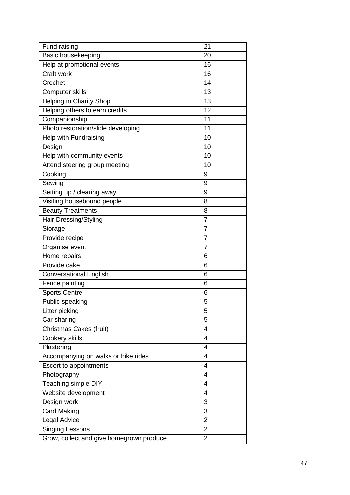| Fund raising                             | 21             |
|------------------------------------------|----------------|
| Basic housekeeping                       | 20             |
| Help at promotional events               | 16             |
| Craft work                               | 16             |
| Crochet                                  | 14             |
| Computer skills                          | 13             |
| Helping in Charity Shop                  | 13             |
| Helping others to earn credits           | 12             |
| Companionship                            | 11             |
| Photo restoration/slide developing       | 11             |
| Help with Fundraising                    | 10             |
| Design                                   | 10             |
| Help with community events               | 10             |
| Attend steering group meeting            | 10             |
| Cooking                                  | 9              |
| Sewing                                   | 9              |
| Setting up / clearing away               | 9              |
| Visiting housebound people               | 8              |
| <b>Beauty Treatments</b>                 | 8              |
| Hair Dressing/Styling                    | $\overline{7}$ |
| Storage                                  | $\overline{7}$ |
| Provide recipe                           | $\overline{7}$ |
| Organise event                           | $\overline{7}$ |
| Home repairs                             | 6              |
| Provide cake                             | 6              |
| <b>Conversational English</b>            | 6              |
| Fence painting                           | 6              |
| <b>Sports Centre</b>                     | 6              |
| Public speaking                          | 5              |
| Litter picking                           | 5              |
| Car sharing                              | 5              |
| <b>Christmas Cakes (fruit)</b>           | 4              |
| Cookery skills                           | 4              |
| Plastering                               | 4              |
| Accompanying on walks or bike rides      | 4              |
| Escort to appointments                   | 4              |
| Photography                              | 4              |
| Teaching simple DIY                      | 4              |
| Website development                      | 4              |
| Design work                              | 3              |
| <b>Card Making</b>                       | 3              |
| Legal Advice                             | $\overline{2}$ |
| <b>Singing Lessons</b>                   | $\overline{2}$ |
| Grow, collect and give homegrown produce | 2              |